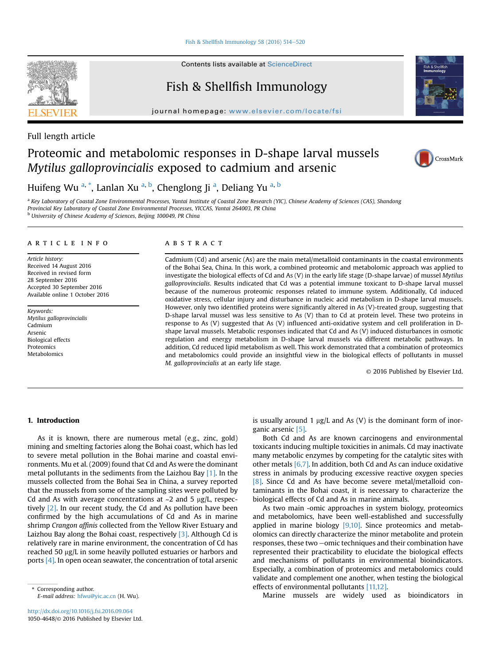Fish & Shellfish Immunology 58 (2016)  $514-520$  $514-520$ 

Contents lists available at ScienceDirect

# Fish & Shellfish Immunology

journal homepage: [www.elsevier.com/locate/fsi](http://www.elsevier.com/locate/fsi)





# Proteomic and metabolomic responses in D-shape larval mussels Mytilus galloprovincialis exposed to cadmium and arsenic



Huifeng Wu <sup>a,</sup> \*, Lanlan Xu <sup>a, b</sup>, Chenglong Ji <sup>a</sup>, Deliang Yu <sup>a, b</sup>

<sup>a</sup> Key Laboratory of Coastal Zone Environmental Processes, Yantai Institute of Coastal Zone Research (YIC), Chinese Academy of Sciences (CAS), Shandong Provincial Key Laboratory of Coastal Zone Environmental Processes, YICCAS, Yantai 264003, PR China <sup>b</sup> University of Chinese Academy of Sciences, Beijing 100049, PR China

## article info

Article history: Received 14 August 2016 Received in revised form 28 September 2016 Accepted 30 September 2016 Available online 1 October 2016

Keywords: Mytilus galloprovincialis Cadmium Arsenic Biological effects Proteomics Metabolomics

# **ABSTRACT**

Cadmium (Cd) and arsenic (As) are the main metal/metalloid contaminants in the coastal environments of the Bohai Sea, China. In this work, a combined proteomic and metabolomic approach was applied to investigate the biological effects of Cd and As (V) in the early life stage (D-shape larvae) of mussel Mytilus galloprovincialis. Results indicated that Cd was a potential immune toxicant to D-shape larval mussel because of the numerous proteomic responses related to immune system. Additionally, Cd induced oxidative stress, cellular injury and disturbance in nucleic acid metabolism in D-shape larval mussels. However, only two identified proteins were significantly altered in As (V)-treated group, suggesting that D-shape larval mussel was less sensitive to As (V) than to Cd at protein level. These two proteins in response to As (V) suggested that As (V) influenced anti-oxidative system and cell proliferation in Dshape larval mussels. Metabolic responses indicated that Cd and As (V) induced disturbances in osmotic regulation and energy metabolism in D-shape larval mussels via different metabolic pathways. In addition, Cd reduced lipid metabolism as well. This work demonstrated that a combination of proteomics and metabolomics could provide an insightful view in the biological effects of pollutants in mussel M. galloprovincialis at an early life stage.

© 2016 Published by Elsevier Ltd.

# 1. Introduction

As it is known, there are numerous metal (e.g., zinc, gold) mining and smelting factories along the Bohai coast, which has led to severe metal pollution in the Bohai marine and coastal environments. Mu et al. (2009) found that Cd and As were the dominant metal pollutants in the sediments from the Laizhou Bay [\[1\]](#page-5-0). In the mussels collected from the Bohai Sea in China, a survey reported that the mussels from some of the sampling sites were polluted by Cd and As with average concentrations at  $\sim$ 2 and 5  $\mu$ g/L, respectively [\[2\]](#page-5-0). In our recent study, the Cd and As pollution have been confirmed by the high accumulations of Cd and As in marine shrimp Crangon affinis collected from the Yellow River Estuary and Laizhou Bay along the Bohai coast, respectively [\[3\].](#page-5-0) Although Cd is relatively rare in marine environment, the concentration of Cd has reached 50 µg/L in some heavily polluted estuaries or harbors and ports [\[4\].](#page-5-0) In open ocean seawater, the concentration of total arsenic is usually around 1  $\mu$ g/L and As (V) is the dominant form of inorganic arsenic [\[5\]](#page-5-0).

Both Cd and As are known carcinogens and environmental toxicants inducing multiple toxicities in animals. Cd may inactivate many metabolic enzymes by competing for the catalytic sites with other metals [\[6,7\].](#page-6-0) In addition, both Cd and As can induce oxidative stress in animals by producing excessive reactive oxygen species [\[8\]](#page-6-0). Since Cd and As have become severe metal/metalloid contaminants in the Bohai coast, it is necessary to characterize the biological effects of Cd and As in marine animals.

As two main -omic approaches in system biology, proteomics and metabolomics, have been well-established and successfully applied in marine biology  $[9,10]$ . Since proteomics and metabolomics can directly characterize the minor metabolite and protein responses, these two -omic techniques and their combination have represented their practicability to elucidate the biological effects and mechanisms of pollutants in environmental bioindicators. Especially, a combination of proteomics and metabolomics could validate and complement one another, when testing the biological effects of environmental pollutants [\[11,12\].](#page-6-0)

Marine mussels are widely used as bioindicators in



<sup>\*</sup> Corresponding author. E-mail address: [hfwu@yic.ac.cn](mailto:hfwu@yic.ac.cn) (H. Wu).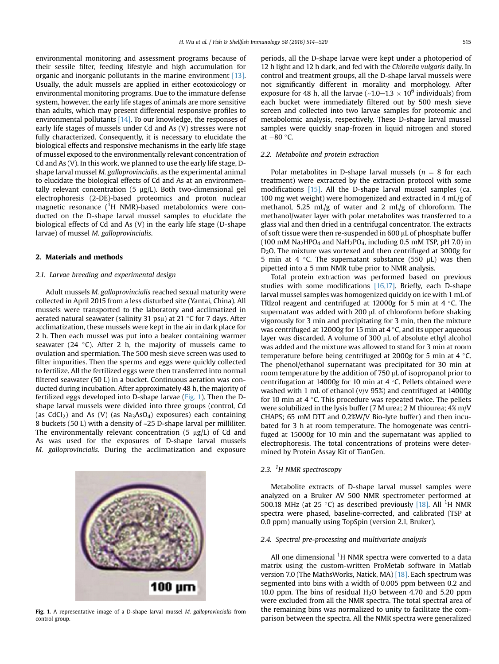<span id="page-1-0"></span>environmental monitoring and assessment programs because of their sessile filter, feeding lifestyle and high accumulation for organic and inorganic pollutants in the marine environment [\[13\].](#page-6-0) Usually, the adult mussels are applied in either ecotoxicology or environmental monitoring programs. Due to the immature defense system, however, the early life stages of animals are more sensitive than adults, which may present differential responsive profiles to environmental pollutants [\[14\].](#page-6-0) To our knowledge, the responses of early life stages of mussels under Cd and As (V) stresses were not fully characterized. Consequently, it is necessary to elucidate the biological effects and responsive mechanisms in the early life stage of mussel exposed to the environmentally relevant concentration of Cd and As (V). In this work, we planned to use the early life stage, Dshape larval mussel M. galloprovincialis, as the experimental animal to elucidate the biological effects of Cd and As at an environmentally relevant concentration  $(5 \mu g/L)$ . Both two-dimensional gel electrophoresis (2-DE)-based proteomics and proton nuclear magnetic resonance (<sup>1</sup>H NMR)-based metabolomics were conducted on the D-shape larval mussel samples to elucidate the biological effects of Cd and As (V) in the early life stage (D-shape larvae) of mussel M. galloprovincialis.

# 2. Materials and methods

## 2.1. Larvae breeding and experimental design

Adult mussels M. galloprovincialis reached sexual maturity were collected in April 2015 from a less disturbed site (Yantai, China). All mussels were transported to the laboratory and acclimatized in aerated natural seawater (salinity 31 ps $\mu$ ) at 21 °C for 7 days. After acclimatization, these mussels were kept in the air in dark place for 2 h. Then each mussel was put into a beaker containing warmer seawater (24 $\degree$ C). After 2 h, the majority of mussels came to ovulation and spermiation. The 500 mesh sieve screen was used to filter impurities. Then the sperms and eggs were quickly collected to fertilize. All the fertilized eggs were then transferred into normal filtered seawater (50 L) in a bucket. Continuous aeration was conducted during incubation. After approximately 48 h, the majority of fertilized eggs developed into D-shape larvae (Fig. 1). Then the Dshape larval mussels were divided into three groups (control, Cd (as  $CdCl<sub>2</sub>$ ) and As (V) (as  $Na<sub>3</sub>AsO<sub>4</sub>$ ) exposures) each containing 8 buckets (50 L) with a density of ~25 D-shape larval per milliliter. The environmentally relevant concentration  $(5 \mu g/L)$  of Cd and As was used for the exposures of D-shape larval mussels M. galloprovincialis. During the acclimatization and exposure



Fig. 1. A representative image of a D-shape larval mussel M. galloprovincialis from control group.

periods, all the D-shape larvae were kept under a photoperiod of 12 h light and 12 h dark, and fed with the Chlorella vulgaris daily. In control and treatment groups, all the D-shape larval mussels were not significantly different in morality and morphology. After exposure for 48 h, all the larvae ( $\sim$ 1.0–1.3  $\times$  10<sup>6</sup> individuals) from each bucket were immediately filtered out by 500 mesh sieve screen and collected into two larvae samples for proteomic and metabolomic analysis, respectively. These D-shape larval mussel samples were quickly snap-frozen in liquid nitrogen and stored at  $-80$  °C.

### 2.2. Metabolite and protein extraction

Polar metabolites in D-shape larval mussels ( $n = 8$  for each treatment) were extracted by the extraction protocol with some modifications [\[15\].](#page-6-0) All the D-shape larval mussel samples (ca. 100 mg wet weight) were homogenized and extracted in 4 mL/g of methanol, 5.25 mL/g of water and 2 mL/g of chloroform. The methanol/water layer with polar metabolites was transferred to a glass vial and then dried in a centrifugal concentrator. The extracts of soft tissue were then re-suspended in 600  $\mu$ L of phosphate buffer (100 mM Na<sub>2</sub>HPO<sub>4</sub> and NaH<sub>2</sub>PO<sub>4</sub>, including 0.5 mM TSP, pH 7.0) in D2O. The mixture was vortexed and then centrifuged at 3000g for 5 min at 4 °C. The supernatant substance (550  $\mu$ L) was then pipetted into a 5 mm NMR tube prior to NMR analysis.

Total protein extraction was performed based on previous studies with some modifications [\[16,17\]](#page-6-0). Briefly, each D-shape larval mussel samples was homogenized quickly on ice with 1 mL of TRIzol reagent and centrifuged at  $12000g$  for 5 min at 4 °C. The supernatant was added with 200  $\mu$ L of chloroform before shaking vigorously for 3 min and precipitating for 3 min, then the mixture was centrifuged at 12000g for 15 min at 4  $\degree$ C, and its upper aqueous layer was discarded. A volume of 300 µL of absolute ethyl alcohol was added and the mixture was allowed to stand for 3 min at room temperature before being centrifuged at 2000g for 5 min at 4  $\degree$ C. The phenol/ethanol supernatant was precipitated for 30 min at room temperature by the addition of 750  $\mu$ L of isopropanol prior to centrifugation at 14000g for 10 min at 4  $\degree$ C. Pellets obtained were washed with 1 mL of ethanol (v/v 95%) and centrifuged at 14000g for 10 min at 4  $\degree$ C. This procedure was repeated twice. The pellets were solubilized in the lysis buffer (7 M urea; 2 M thiourea; 4% m/V CHAPS; 65 mM DTT and 0.2%W/V Bio-lyte buffer) and then incubated for 3 h at room temperature. The homogenate was centrifuged at 15000g for 10 min and the supernatant was applied to electrophoresis. The total concentrations of proteins were determined by Protein Assay Kit of TianGen.

# 2.3. <sup>1</sup>H NMR spectroscopy

Metabolite extracts of D-shape larval mussel samples were analyzed on a Bruker AV 500 NMR spectrometer performed at 500.18 MHz (at 25 °C) as described previously  $[18]$ . All <sup>1</sup>H NMR spectra were phased, baseline-corrected, and calibrated (TSP at 0.0 ppm) manually using TopSpin (version 2.1, Bruker).

## 2.4. Spectral pre-processing and multivariate analysis

All one dimensional  ${}^{1}H$  NMR spectra were converted to a data matrix using the custom-written ProMetab software in Matlab version 7.0 (The MathsWorks, Natick, MA) [\[18\]](#page-6-0). Each spectrum was segmented into bins with a width of 0.005 ppm between 0.2 and 10.0 ppm. The bins of residual  $H<sub>2</sub>O$  between 4.70 and 5.20 ppm were excluded from all the NMR spectra. The total spectral area of the remaining bins was normalized to unity to facilitate the comparison between the spectra. All the NMR spectra were generalized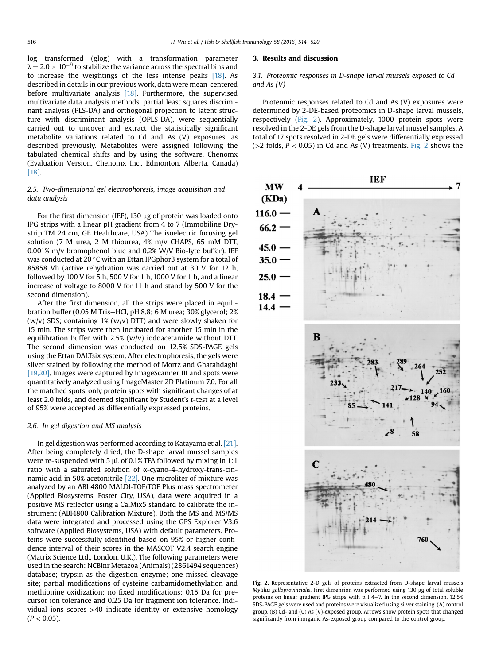log transformed (glog) with a transformation parameter  $\lambda = 2.0 \times 10^{-9}$  to stabilize the variance across the spectral bins and to increase the weightings of the less intense peaks [\[18\].](#page-6-0) As described in details in our previous work, data were mean-centered before multivariate analysis [\[18\]](#page-6-0). Furthermore, the supervised multivariate data analysis methods, partial least squares discriminant analysis (PLS-DA) and orthogonal projection to latent structure with discriminant analysis (OPLS-DA), were sequentially carried out to uncover and extract the statistically significant metabolite variations related to Cd and As (V) exposures, as described previously. Metabolites were assigned following the tabulated chemical shifts and by using the software, Chenomx (Evaluation Version, Chenomx Inc., Edmonton, Alberta, Canada) [\[18\].](#page-6-0)

# 2.5. Two-dimensional gel electrophoresis, image acquisition and data analysis

For the first dimension (IEF), 130  $\mu$ g of protein was loaded onto IPG strips with a linear pH gradient from 4 to 7 (Immobiline Drystrip TM 24 cm, GE Healthcare, USA) The isoelectric focusing gel solution (7 M urea, 2 M thiourea, 4% m/v CHAPS, 65 mM DTT, 0.001% m/v bromophenol blue and 0.2% W/V Bio-lyte buffer). IEF was conducted at 20 $\degree$ C with an Ettan IPGphor3 system for a total of 85858 Vh (active rehydration was carried out at 30 V for 12 h, followed by 100 V for 5 h, 500 V for 1 h, 1000 V for 1 h, and a linear increase of voltage to 8000 V for 11 h and stand by 500 V for the second dimension).

After the first dimension, all the strips were placed in equilibration buffer (0.05 M Tris-HCl, pH 8.8; 6 M urea; 30% glycerol; 2% (w/v) SDS; containing 1% (w/v) DTT) and were slowly shaken for 15 min. The strips were then incubated for another 15 min in the equilibration buffer with 2.5% (w/v) iodoacetamide without DTT. The second dimension was conducted on 12.5% SDS-PAGE gels using the Ettan DALTsix system. After electrophoresis, the gels were silver stained by following the method of Mortz and Gharahdaghi [\[19,20\]](#page-6-0). Images were captured by ImageScanner III and spots were quantitatively analyzed using ImageMaster 2D Platinum 7.0. For all the matched spots, only protein spots with significant changes of at least 2.0 folds, and deemed significant by Student's t-test at a level of 95% were accepted as differentially expressed proteins.

## 2.6. In gel digestion and MS analysis

In gel digestion was performed according to Katayama et al. [\[21\].](#page-6-0) After being completely dried, the D-shape larval mussel samples were re-suspended with 5  $\mu$ L of 0.1% TFA followed by mixing in 1:1 ratio with a saturated solution of a-cyano-4-hydroxy-trans-cinnamic acid in 50% acetonitrile [\[22\].](#page-6-0) One microliter of mixture was analyzed by an ABI 4800 MALDI-TOF/TOF Plus mass spectrometer (Applied Biosystems, Foster City, USA), data were acquired in a positive MS reflector using a CalMix5 standard to calibrate the instrument (ABI4800 Calibration Mixture). Both the MS and MS/MS data were integrated and processed using the GPS Explorer V3.6 software (Applied Biosystems, USA) with default parameters. Proteins were successfully identified based on 95% or higher confidence interval of their scores in the MASCOT V2.4 search engine (Matrix Science Ltd., London, U.K.). The following parameters were used in the search: NCBInr Metazoa (Animals) (2861494 sequences) database; trypsin as the digestion enzyme; one missed cleavage site; partial modifications of cysteine carbamidomethylation and methionine oxidization; no fixed modifications; 0.15 Da for precursor ion tolerance and 0.25 Da for fragment ion tolerance. Individual ions scores >40 indicate identity or extensive homology  $(P < 0.05)$ .

#### 3. Results and discussion

3.1. Proteomic responses in D-shape larval mussels exposed to Cd and As (V)

Proteomic responses related to Cd and As (V) exposures were determined by 2-DE-based proteomics in D-shape larval mussels, respectively (Fig. 2). Approximately, 1000 protein spots were resolved in the 2-DE gels from the D-shape larval mussel samples. A total of 17 spots resolved in 2-DE gels were differentially expressed ( $>$ 2 folds,  $P < 0.05$ ) in Cd and As (V) treatments. Fig. 2 shows the



Fig. 2. Representative 2-D gels of proteins extracted from D-shape larval mussels Mytilus galloprovincialis. First dimension was performed using 130 µg of total soluble proteins on linear gradient IPG strips with pH 4-7. In the second dimension, 12.5% SDS-PAGE gels were used and proteins were visualized using silver staining. (A) control group, (B) Cd- and (C) As (V)-exposed group. Arrows show protein spots that changed significantly from inorganic As-exposed group compared to the control group.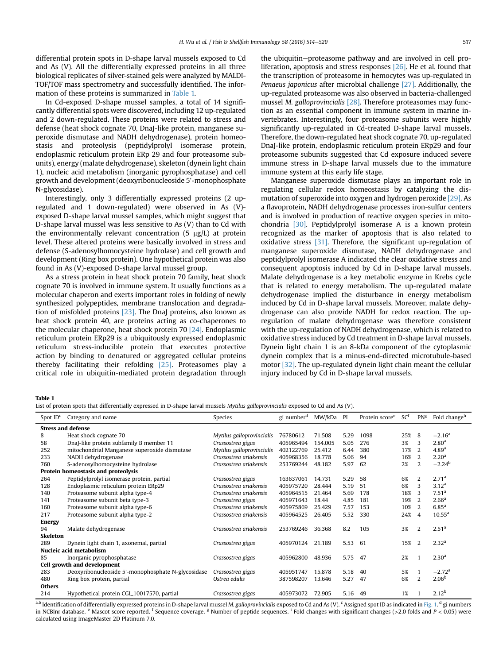differential protein spots in D-shape larval mussels exposed to Cd and As (V). All the differentially expressed proteins in all three biological replicates of silver-stained gels were analyzed by MALDI-TOF/TOF mass spectrometry and successfully identified. The information of these proteins is summarized in Table 1.

In Cd-exposed D-shape mussel samples, a total of 14 significantly differential spots were discovered, including 12 up-regulated and 2 down-regulated. These proteins were related to stress and defense (heat shock cognate 70, DnaJ-like protein, manganese superoxide dismutase and NADH dehydrogenase), protein homeostasis and proteolysis (peptidylprolyl isomerase protein, endoplasmic reticulum protein ERp 29 and four proteasome subunits), energy (malate dehydrogenase), skeleton (dynein light chain 1), nucleic acid metabolism (inorganic pyrophosphatase) and cell growth and development (deoxyribonucleoside 5'-monophosphate N-glycosidase).

Interestingly, only 3 differentially expressed proteins (2 upregulated and 1 down-regulated) were observed in As (V) exposed D-shape larval mussel samples, which might suggest that D-shape larval mussel was less sensitive to As (V) than to Cd with the environmentally relevant concentration  $(5 \mu g/L)$  at protein level. These altered proteins were basically involved in stress and defense (S-adenosylhomocysteine hydrolase) and cell growth and development (Ring box protein). One hypothetical protein was also found in As (V)-exposed D-shape larval mussel group.

As a stress protein in heat shock protein 70 family, heat shock cognate 70 is involved in immune system. It usually functions as a molecular chaperon and exerts important roles in folding of newly synthesized polypeptides, membrane translocation and degradation of misfolded proteins [\[23\].](#page-6-0) The DnaJ proteins, also known as heat shock protein 40, are proteins acting as co-chaperones to the molecular chaperone, heat shock protein 70 [\[24\]](#page-6-0). Endoplasmic reticulum protein ERp29 is a ubiquitously expressed endoplasmic reticulum stress-inducible protein that executes protective action by binding to denatured or aggregated cellular proteins thereby facilitating their refolding [\[25\].](#page-6-0) Proteasomes play a critical role in ubiquitin-mediated protein degradation through the ubiquitin-proteasome pathway and are involved in cell proliferation, apoptosis and stress responses [\[26\]](#page-6-0). He et al. found that the transcription of proteasome in hemocytes was up-regulated in Penaeus japonicus after microbial challenge [\[27\].](#page-6-0) Additionally, the up-regulated proteasome was also observed in bacteria-challenged mussel M. galloprovincialis [\[28\].](#page-6-0) Therefore proteasomes may function as an essential component in immune system in marine invertebrates. Interestingly, four proteasome subunits were highly significantly up-regulated in Cd-treated D-shape larval mussels. Therefore, the down-regulated heat shock cognate 70, up-regulated DnaJ-like protein, endoplasmic reticulum protein ERp29 and four proteasome subunits suggested that Cd exposure induced severe immune stress in D-shape larval mussels due to the immature immune system at this early life stage.

Manganese superoxide dismutase plays an important role in regulating cellular redox homeostasis by catalyzing the dismutation of superoxide into oxygen and hydrogen peroxide [\[29\].](#page-6-0) As a flavoprotein, NADH dehydrogenase processes iron-sulfur centers and is involved in production of reactive oxygen species in mitochondria [\[30\]](#page-6-0). Peptidylprolyl isomerase A is a known protein recognized as the marker of apoptosis that is also related to oxidative stress [\[31\].](#page-6-0) Therefore, the significant up-regulation of manganese superoxide dismutase, NADH dehydrogenase and peptidylprolyl isomerase A indicated the clear oxidative stress and consequent apoptosis induced by Cd in D-shape larval mussels. Malate dehydrogenase is a key metabolic enzyme in Krebs cycle that is related to energy metabolism. The up-regulated malate dehydrogenase implied the disturbance in energy metabolism induced by Cd in D-shape larval mussels. Moreover, malate dehydrogenase can also provide NADH for redox reaction. The upregulation of malate dehydrogenase was therefore consistent with the up-regulation of NADH dehydrogenase, which is related to oxidative stress induced by Cd treatment in D-shape larval mussels. Dynein light chain 1 is an 8-kDa component of the cytoplasmic dynein complex that is a minus-end-directed microtubule-based motor [\[32\]](#page-6-0). The up-regulated dynein light chain meant the cellular injury induced by Cd in D-shape larval mussels.

Table 1

List of protein spots that differentially expressed in D-shape larval mussels Mytilus galloprovincialis exposed to Cd and As (V).

| Spot $IDc$                          | Category and name                                  | Species                   | gi number <sup>d</sup> | MW/kDa  | PI   | Protein score <sup>e</sup> | SC <sup>t</sup> | $PN^g$         | Fold change <sup>n</sup> |
|-------------------------------------|----------------------------------------------------|---------------------------|------------------------|---------|------|----------------------------|-----------------|----------------|--------------------------|
| <b>Stress and defense</b>           |                                                    |                           |                        |         |      |                            |                 |                |                          |
| 8                                   | Heat shock cognate 70                              | Mytilus galloprovincialis | 76780612               | 71.508  | 5.29 | 1098                       | 25%             | 8              | $-2.16^{\rm a}$          |
| 58                                  | DnaJ-like protein subfamily B member 11            | Crassostrea gigas         | 405965494              | 154.005 | 5.05 | 276                        | 3%              | 3              | 2.80 <sup>a</sup>        |
| 252                                 | mitochondrial Manganese superoxide dismutase       | Mytilus galloprovincialis | 402122769              | 25,412  | 6.44 | 380                        | 17%             | 2              | 4.89 <sup>a</sup>        |
| 233                                 | NADH dehydrogenase                                 | Crassostrea ariakensis    | 405968356              | 18.778  | 5.06 | 94                         | 16%             | 2              | 2.20 <sup>a</sup>        |
| 760                                 | S-adenosylhomocysteine hydrolase                   | Crassostrea ariakensis    | 253769244              | 48.182  | 5.97 | 62                         | 2%              | 2              | $-2.24b$                 |
| Protein homeostasis and proteolysis |                                                    |                           |                        |         |      |                            |                 |                |                          |
| 264                                 | Peptidylprolyl isomerase protein, partial          | Crassostrea gigas         | 163637061              | 14.731  | 5.29 | 58                         | 6%              | 2              | 2.71 <sup>a</sup>        |
| 128                                 | Endoplasmic reticulum protein ERp29                | Crassostrea ariakensis    | 405975720              | 28.444  | 5.19 | 51                         | 6%              | 3              | 3.12 <sup>a</sup>        |
| 140                                 | Proteasome subunit alpha type-4                    | Crassostrea ariakensis    | 405964515              | 21.464  | 5.69 | 178                        | 18%             | 3              | 7.51 <sup>a</sup>        |
| 141                                 | Proteasome subunit beta type-3                     | Crassostrea gigas         | 405971643              | 18.44   | 4.85 | 181                        | 19%             | <sup>2</sup>   | 2.66 <sup>a</sup>        |
| 160                                 | Proteasome subunit alpha type-6                    | Crassostrea ariakensis    | 405975869              | 25.429  | 7.57 | 153                        | 10%             | -2             | 6.85 <sup>a</sup>        |
| 217                                 | Proteasome subunit alpha type-2                    | Crassostrea ariakensis    | 405964525              | 26.405  | 5.52 | 330                        | 24%             | $\overline{4}$ | $10.55^{\text{a}}$       |
| <b>Energy</b>                       |                                                    |                           |                        |         |      |                            |                 |                |                          |
| 94                                  | Malate dehydrogenase                               | Crassostrea ariakensis    | 253769246              | 36.368  | 8.2  | 105                        | 3%              | 2              | 2.51 <sup>a</sup>        |
| Skeleton                            |                                                    |                           |                        |         |      |                            |                 |                |                          |
| 289                                 | Dynein light chain 1, axonemal, partial            | Crassostrea gigas         | 405970124              | 21.189  | 5.53 | 61                         | 15%             | <sup>2</sup>   | 2.32 <sup>a</sup>        |
| Nucleic acid metabolism             |                                                    |                           |                        |         |      |                            |                 |                |                          |
| 85                                  | Inorganic pyrophosphatase                          | Crassostrea gigas         | 405962800              | 48.936  | 5.75 | 47                         | 2%              |                | 2.30 <sup>a</sup>        |
| Cell growth and development         |                                                    |                           |                        |         |      |                            |                 |                |                          |
| 283                                 | Deoxyribonucleoside 5'-monophosphate N-glycosidase | Crassostrea gigas         | 405951747              | 15.878  | 5.18 | 40                         | 5%              |                | $-2.72$ <sup>a</sup>     |
| 480                                 | Ring box protein, partial                          | Ostrea edulis             | 387598207              | 13.646  | 5.27 | 47                         | 6%              | 2              | 2.06 <sup>b</sup>        |
| <b>Others</b>                       |                                                    |                           |                        |         |      |                            |                 |                |                          |
| 214                                 | Hypothetical protein CGI_10017570, partial         | Crassostrea gigas         | 405973072              | 72.905  | 5.16 | 49                         | 1%              |                | 2.12 <sup>b</sup>        |

<sup>a,b</sup> Identification of differentially expressed proteins in D-shape larval mussel M. galloprovincialis exposed to Cd and As (V). <sup>c</sup> Assigned spot ID as indicated in [Fig. 1.](#page-1-0) <sup>d</sup> gi numbers in NCBInr database. <sup>e</sup> Mascot score reported. <sup>f</sup> Sequence coverage. <sup>g</sup> Number of peptide sequences. <sup>i</sup> Fold changes with significant changes (>2.0 folds and P < 0.05) were calculated using ImageMaster 2D Platinum 7.0.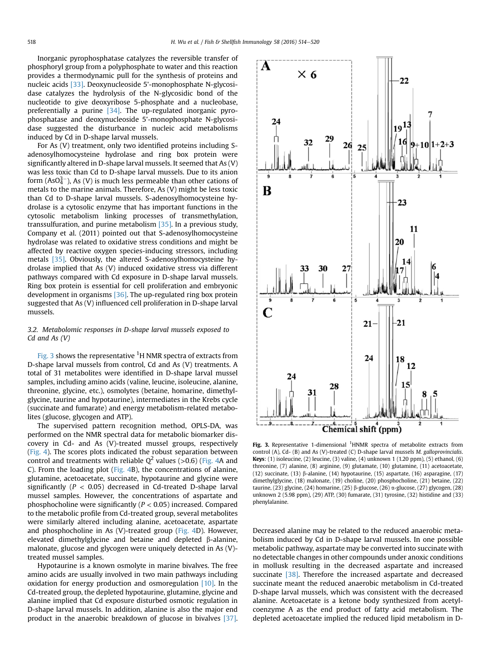Inorganic pyrophosphatase catalyzes the reversible transfer of phosphoryl group from a polyphosphate to water and this reaction provides a thermodynamic pull for the synthesis of proteins and nucleic acids [\[33\].](#page-6-0) Deoxynucleoside 5'-monophosphate N-glycosidase catalyzes the hydrolysis of the N-glycosidic bond of the nucleotide to give deoxyribose 5-phosphate and a nucleobase, preferentially a purine [\[34\]](#page-6-0). The up-regulated inorganic pyrophosphatase and deoxynucleoside 5'-monophosphate N-glycosidase suggested the disturbance in nucleic acid metabolisms induced by Cd in D-shape larval mussels.

For As (V) treatment, only two identified proteins including Sadenosylhomocysteine hydrolase and ring box protein were significantly altered in D-shape larval mussels. It seemed that As (V) was less toxic than Cd to D-shape larval mussels. Due to its anion form (AsO $_4^{3-}$ ), As (V) is much less permeable than other cations of metals to the marine animals. Therefore, As (V) might be less toxic than Cd to D-shape larval mussels. S-adenosylhomocysteine hydrolase is a cytosolic enzyme that has important functions in the cytosolic metabolism linking processes of transmethylation, transsulfuration, and purine metabolism [\[35\]](#page-6-0). In a previous study, Company et al. (2011) pointed out that S-adenosylhomocysteine hydrolase was related to oxidative stress conditions and might be affected by reactive oxygen species-inducing stressors, including metals [\[35\]](#page-6-0). Obviously, the altered S-adenosylhomocysteine hydrolase implied that As (V) induced oxidative stress via different pathways compared with Cd exposure in D-shape larval mussels. Ring box protein is essential for cell proliferation and embryonic development in organisms [\[36\]](#page-6-0). The up-regulated ring box protein suggested that As (V) influenced cell proliferation in D-shape larval mussels.

# 3.2. Metabolomic responses in D-shape larval mussels exposed to Cd and As (V)

Fig. 3 shows the representative  ${}^{1}$ H NMR spectra of extracts from D-shape larval mussels from control, Cd and As (V) treatments. A total of 31 metabolites were identified in D-shape larval mussel samples, including amino acids (valine, leucine, isoleucine, alanine, threonine, glycine, etc.), osmolytes (betaine, homarine, dimethylglycine, taurine and hypotaurine), intermediates in the Krebs cycle (succinate and fumarate) and energy metabolism-related metabolites (glucose, glycogen and ATP).

The supervised pattern recognition method, OPLS-DA, was performed on the NMR spectral data for metabolic biomarker discovery in Cd- and As (V)-treated mussel groups, respectively ([Fig. 4](#page-5-0)). The scores plots indicated the robust separation between control and treatments with reliable  $Q^2$  values (>0.6) [\(Fig. 4A](#page-5-0) and C). From the loading plot ([Fig. 4B](#page-5-0)), the concentrations of alanine, glutamine, acetoacetate, succinate, hypotaurine and glycine were significantly ( $P < 0.05$ ) decreased in Cd-treated D-shape larval mussel samples. However, the concentrations of aspartate and phosphocholine were significantly  $(P < 0.05)$  increased. Compared to the metabolic profile from Cd-treated group, several metabolites were similarly altered including alanine, acetoacetate, aspartate and phosphocholine in As (V)-treated group ([Fig. 4D](#page-5-0)). However, elevated dimethylglycine and betaine and depleted  $\beta$ -alanine, malonate, glucose and glycogen were uniquely detected in As (V) treated mussel samples.

Hypotaurine is a known osmolyte in marine bivalves. The free amino acids are usually involved in two main pathways including oxidation for energy production and osmoregulation  $[10]$ . In the Cd-treated group, the depleted hypotaurine, glutamine, glycine and alanine implied that Cd exposure disturbed osmotic regulation in D-shape larval mussels. In addition, alanine is also the major end product in the anaerobic breakdown of glucose in bivalves [\[37\].](#page-6-0)



Fig. 3. Representative 1-dimensional <sup>1</sup>HNMR spectra of metabolite extracts from control (A), Cd- (B) and As (V)-treated (C) D-shape larval mussels M. galloprovincialis. Keys: (1) isoleucine, (2) leucine, (3) valine, (4) unknown 1 (1.20 ppm), (5) ethanol, (6) threonine, (7) alanine, (8) arginine, (9) glutamate, (10) glutamine, (11) acetoacetate, (12) succinate, (13)  $\beta$ -alanine, (14) hypotaurine, (15) aspartate, (16) asparagine, (17) dimethylglycine, (18) malonate, (19) choline, (20) phosphocholine, (21) betaine, (22) taurine, (23) glycine, (24) homarine, (25)  $\beta$ -glucose, (26)  $\alpha$ -glucose, (27) glycogen, (28) unknown 2 (5.98 ppm), (29) ATP, (30) fumarate, (31) tyrosine, (32) histidine and (33) phenylalanine.

Decreased alanine may be related to the reduced anaerobic metabolism induced by Cd in D-shape larval mussels. In one possible metabolic pathway, aspartate may be converted into succinate with no detectable changes in other compounds under anoxic conditions in mollusk resulting in the decreased aspartate and increased succinate [\[38\]](#page-6-0). Therefore the increased aspartate and decreased succinate meant the reduced anaerobic metabolism in Cd-treated D-shape larval mussels, which was consistent with the decreased alanine. Acetoacetate is a ketone body synthesized from acetylcoenzyme A as the end product of fatty acid metabolism. The depleted acetoacetate implied the reduced lipid metabolism in D-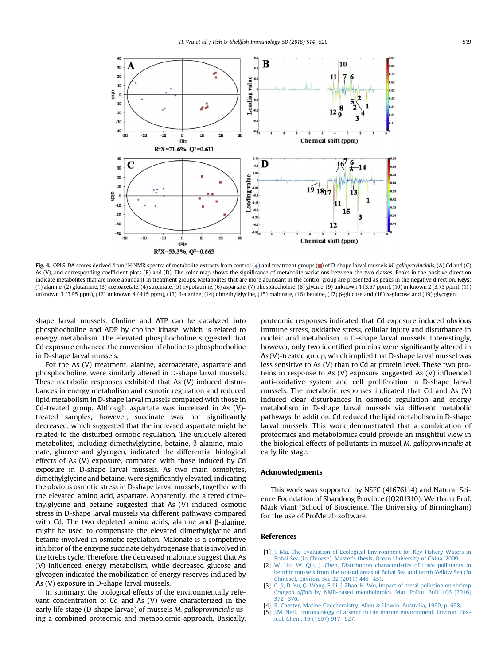<span id="page-5-0"></span>

Fig. 4. OPLS-DA scores derived from <sup>1</sup>H NMR spectra of metabolite extracts from control ( $\bullet$ ) and treatment groups ( $\blacksquare$ ) of D-shape larval mussels M. galloprovincialis, (A) Cd and (C) As (V), and corresponding coefficient plots (B) and (D). The color map shows the significance of metabolite variations between the two classes. Peaks in the positive direction indicate metabolites that are more abundant in treatment groups. Metabolites that are more abundant in the control group are presented as peaks in the negative direction. Keys: (1) alanine, (2) glutamine, (3) acetoacetate, (4) succinate, (5) hypotaurine, (6) aspartate, (7) phosphocholine, (8) glycine, (9) unknown 1 (3.67 ppm), (10) unknown 2 (3.73 ppm), (11) unknown 3 (3.95 ppm), (12) unknown 4 (4.15 ppm), (13) β-alanine, (14) dimethylglycine, (15) malonate, (16) betaine, (17) β-glucose and (18) α-glucose and (19) glycogen.

shape larval mussels. Choline and ATP can be catalyzed into phosphocholine and ADP by choline kinase, which is related to energy metabolism. The elevated phosphocholine suggested that Cd exposure enhanced the conversion of choline to phosphocholine in D-shape larval mussels.

For the As (V) treatment, alanine, acetoacetate, aspartate and phosphocholine, were similarly altered in D-shape larval mussels. These metabolic responses exhibited that As (V) induced disturbances in energy metabolism and osmotic regulation and reduced lipid metabolism in D-shape larval mussels compared with those in Cd-treated group. Although aspartate was increased in As (V) treated samples, however, succinate was not significantly decreased, which suggested that the increased aspartate might be related to the disturbed osmotic regulation. The uniquely altered metabolites, including dimethylglycine, betaine,  $\beta$ -alanine, malonate, glucose and glycogen, indicated the differential biological effects of As (V) exposure, compared with those induced by Cd exposure in D-shape larval mussels. As two main osmolytes, dimethylglycine and betaine, were significantly elevated, indicating the obvious osmotic stress in D-shape larval mussels, together with the elevated amino acid, aspartate. Apparently, the altered dimethylglycine and betaine suggested that As (V) induced osmotic stress in D-shape larval mussels via different pathways compared with Cd. The two depleted amino acids, alanine and  $\beta$ -alanine, might be used to compensate the elevated dimethylglycine and betaine involved in osmotic regulation. Malonate is a competitive inhibitor of the enzyme succinate dehydrogenase that is involved in the Krebs cycle. Therefore, the decreased malonate suggest that As (V) influenced energy metabolism, while decreased glucose and glycogen indicated the mobilization of energy reserves induced by As (V) exposure in D-shape larval mussels.

In summary, the biological effects of the environmentally relevant concentration of Cd and As (V) were characterized in the early life stage (D-shape larvae) of mussels M. galloprovincialis using a combined proteomic and metabolomic approach. Basically, proteomic responses indicated that Cd exposure induced obvious immune stress, oxidative stress, cellular injury and disturbance in nucleic acid metabolism in D-shape larval mussels. Interestingly, however, only two identified proteins were significantly altered in As (V)-treated group, which implied that D-shape larval mussel was less sensitive to As (V) than to Cd at protein level. These two proteins in response to As (V) exposure suggested As (V) influenced anti-oxidative system and cell proliferation in D-shape larval mussels. The metabolic responses indicated that Cd and As (V) induced clear disturbances in osmotic regulation and energy metabolism in D-shape larval mussels via different metabolic pathways. In addition, Cd reduced the lipid metabolism in D-shape larval mussels. This work demonstrated that a combination of proteomics and metabolomics could provide an insightful view in the biological effects of pollutants in mussel M. galloprovincialis at early life stage.

# Acknowledgments

This work was supported by NSFC (41676114) and Natural Science Foundation of Shandong Province (JQ201310). We thank Prof. Mark Viant (School of Bioscience, The University of Birmingham) for the use of ProMetab software.

### References

- [1] [J. Mu, The Evaluation of Ecological Environment for Key Fishery Waters in](http://refhub.elsevier.com/S1050-4648(16)30631-3/sref1) Bohai Sea (In Chinese). Master'[s thesis, Ocean University of China, 2009.](http://refhub.elsevier.com/S1050-4648(16)30631-3/sref1)
- [2] [W. Liu, W. Qiu, J. Chen, Distribution characteristics of trace pollutants in](http://refhub.elsevier.com/S1050-4648(16)30631-3/sref2) [benthic mussels from the coastal areas of Bohai Sea and north Yellow Sea \(In](http://refhub.elsevier.com/S1050-4648(16)30631-3/sref2) [Chinese\), Environ. Sci. 32 \(2011\) 445](http://refhub.elsevier.com/S1050-4648(16)30631-3/sref2)-[451.](http://refhub.elsevier.com/S1050-4648(16)30631-3/sref2)
- [3] [C. Ji, D. Yu, Q. Wang, F. Li, J. Zhao, H. Wu, Impact of metal pollution on shrimp](http://refhub.elsevier.com/S1050-4648(16)30631-3/sref3) Crangon affinis [by NMR-based metabolomics, Mar. Pollut. Bull. 106 \(2016\)](http://refhub.elsevier.com/S1050-4648(16)30631-3/sref3)  $372 - 376$  $372 - 376$  $372 - 376$ .
- [4] [R. Chester, Marine Geochemistry, Allen](http://refhub.elsevier.com/S1050-4648(16)30631-3/sref4) & [Unwin, Australia, 1990, p. 698](http://refhub.elsevier.com/S1050-4648(16)30631-3/sref4).
- [5] [J.M. Neff, Ecotoxicology of arsenic in the marine environment, Environ. Tox](http://refhub.elsevier.com/S1050-4648(16)30631-3/sref5)[icol. Chem. 16 \(1997\) 917](http://refhub.elsevier.com/S1050-4648(16)30631-3/sref5)-[927.](http://refhub.elsevier.com/S1050-4648(16)30631-3/sref5)